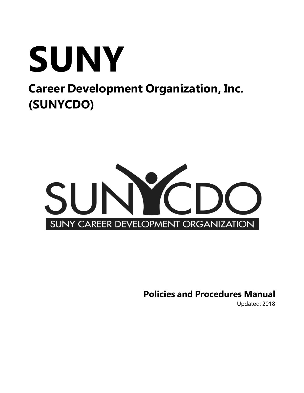



**Policies and Procedures Manual**

Updated: 2018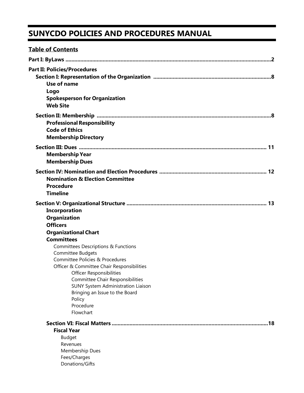# **SUNYCDO POLICIES AND PROCEDURES MANUAL**

| <b>Table of Contents</b>                                                                                                                                                                                                                                                                                                                                                                                                                                      |
|---------------------------------------------------------------------------------------------------------------------------------------------------------------------------------------------------------------------------------------------------------------------------------------------------------------------------------------------------------------------------------------------------------------------------------------------------------------|
|                                                                                                                                                                                                                                                                                                                                                                                                                                                               |
| <b>Part II: Policies/Procedures</b><br>Use of name<br>Logo<br><b>Spokesperson for Organization</b><br><b>Web Site</b>                                                                                                                                                                                                                                                                                                                                         |
| <b>Professional Responsibility</b><br><b>Code of Ethics</b><br><b>Membership Directory</b>                                                                                                                                                                                                                                                                                                                                                                    |
| <b>Membership Year</b><br><b>Membership Dues</b>                                                                                                                                                                                                                                                                                                                                                                                                              |
| <b>Nomination &amp; Election Committee</b><br><b>Procedure</b><br><b>Timeline</b>                                                                                                                                                                                                                                                                                                                                                                             |
| <b>Incorporation</b><br>Organization<br><b>Officers</b><br><b>Organizational Chart</b><br><b>Committees</b><br><b>Committees Descriptions &amp; Functions</b><br>Committee Budgets<br>Committee Policies & Procedures<br>Officer & Committee Chair Responsibilities<br><b>Officer Responsibilities</b><br>Committee Chair Responsibilities<br><b>SUNY System Administration Liaison</b><br>Bringing an Issue to the Board<br>Policy<br>Procedure<br>Flowchart |
| .18<br><b>Fiscal Year</b><br><b>Budget</b><br>Revenues<br>Membership Dues<br>Fees/Charges<br>Donations/Gifts                                                                                                                                                                                                                                                                                                                                                  |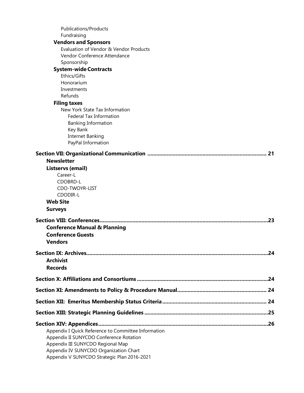| <b>Publications/Products</b>                        |     |
|-----------------------------------------------------|-----|
| Fundraising<br><b>Vendors and Sponsors</b>          |     |
| Evaluation of Vendor & Vendor Products              |     |
| Vendor Conference Attendance                        |     |
| Sponsorship                                         |     |
| <b>System-wide Contracts</b>                        |     |
| Ethics/Gifts                                        |     |
| Honorarium                                          |     |
| Investments                                         |     |
| Refunds                                             |     |
| <b>Filing taxes</b>                                 |     |
| New York State Tax Information                      |     |
| <b>Federal Tax Information</b>                      |     |
| <b>Banking Information</b>                          |     |
| Key Bank<br>Internet Banking                        |     |
| PayPal Information                                  |     |
|                                                     |     |
|                                                     | 21  |
| <b>Newsletter</b>                                   |     |
| Listservs (email)                                   |     |
| Career-L                                            |     |
| CDOBRD-L                                            |     |
| CDO-TWOYR-LIST                                      |     |
| CDODIR-L                                            |     |
| <b>Web Site</b>                                     |     |
| <b>Surveys</b>                                      |     |
|                                                     | .23 |
| <b>Conference Manual &amp; Planning</b>             |     |
| <b>Conference Guests</b>                            |     |
| <b>Vendors</b>                                      |     |
|                                                     |     |
| <b>Archivist</b>                                    |     |
| <b>Records</b>                                      |     |
|                                                     |     |
|                                                     |     |
|                                                     |     |
|                                                     |     |
|                                                     |     |
|                                                     |     |
| Appendix I Quick Reference to Committee Information |     |
| Appendix II SUNYCDO Conference Rotation             |     |
| Appendix III SUNYCDO Regional Map                   |     |
| Appendix IV SUNYCDO Organization Chart              |     |
| Appendix V SUNYCDO Strategic Plan 2016-2021         |     |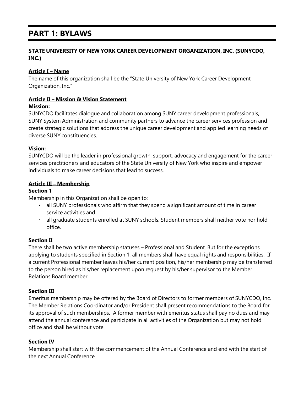# **PART 1: BYLAWS**

# **STATE UNIVERSITY OF NEW YORK CAREER DEVELOPMENT ORGANIZATION, INC. (SUNYCDO, INC.)**

# **Article I – Name**

The name of this organization shall be the "State University of New York Career Development Organization, Inc."

#### **Article II – Mission & Vision Statement**

#### **Mission:**

SUNYCDO facilitates dialogue and collaboration among SUNY career development professionals, SUNY System Administration and community partners to advance the career services profession and create strategic solutions that address the unique career development and applied learning needs of diverse SUNY constituencies.

#### **Vision:**

SUNYCDO will be the leader in professional growth, support, advocacy and engagement for the career services practitioners and educators of the State University of New York who inspire and empower individuals to make career decisions that lead to success.

#### **Article III – Membership**

#### **Section 1**

Membership in this Organization shall be open to:

- all SUNY professionals who affirm that they spend a significant amount of time in career service activities and
- all graduate students enrolled at SUNY schools. Student members shall neither vote nor hold office.

# **Section II**

There shall be two active membership statuses – Professional and Student. But for the exceptions applying to students specified in Section 1, all members shall have equal rights and responsibilities. If a current Professional member leaves his/her current position, his/her membership may be transferred to the person hired as his/her replacement upon request by his/her supervisor to the Member Relations Board member.

# **Section III**

Emeritus membership may be offered by the Board of Directors to former members of SUNYCDO, Inc. The Member Relations Coordinator and/or President shall present recommendations to the Board for its approval of such memberships. A former member with emeritus status shall pay no dues and may attend the annual conference and participate in all activities of the Organization but may not hold office and shall be without vote.

# **Section IV**

Membership shall start with the commencement of the Annual Conference and end with the start of the next Annual Conference.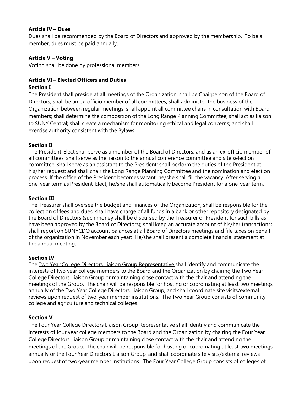#### **Article IV – Dues**

Dues shall be recommended by the Board of Directors and approved by the membership. To be a member, dues must be paid annually.

#### **Article V – Voting**

Voting shall be done by professional members.

#### **Article VI – Elected Officers and Duties**

#### **Section I**

The President shall preside at all meetings of the Organization; shall be Chairperson of the Board of Directors; shall be an ex-officio member of all committees; shall administer the business of the Organization between regular meetings; shall appoint all committee chairs in consultation with Board members; shall determine the composition of the Long Range Planning Committee; shall act as liaison to SUNY Central; shall create a mechanism for monitoring ethical and legal concerns; and shall exercise authority consistent with the Bylaws.

# **Section II**

The President-Elect shall serve as a member of the Board of Directors, and as an ex-officio member of all committees; shall serve as the liaison to the annual conference committee and site selection committee; shall serve as an assistant to the President; shall perform the duties of the President at his/her request; and shall chair the Long Range Planning Committee and the nomination and election process. If the office of the President becomes vacant, he/she shall fill the vacancy. After serving a one-year term as President-Elect, he/she shall automatically become President for a one-year term.

#### **Section III**

The Treasurer shall oversee the budget and finances of the Organization; shall be responsible for the collection of fees and dues; shall have charge of all funds in a bank or other repository designated by the Board of Directors (such money shall be disbursed by the Treasurer or President for such bills as have been approved by the Board of Directors); shall keep an accurate account of his/her transactions; shall report on SUNYCDO account balances at all Board of Directors meetings and file taxes on behalf of the organization in November each year; He/she shall present a complete financial statement at the annual meeting.

# **Section IV**

The Two Year College Directors Liaison Group Representative shall identify and communicate the interests of two year college members to the Board and the Organization by chairing the Two Year College Directors Liaison Group or maintaining close contact with the chair and attending the meetings of the Group. The chair will be responsible for hosting or coordinating at least two meetings annually of the Two Year College Directors Liaison Group, and shall coordinate site visits/external reviews upon request of two-year member institutions. The Two Year Group consists of community college and agriculture and technical colleges.

# **Section V**

The Four Year College Directors Liaison Group Representative shall identify and communicate the interests of four year college members to the Board and the Organization by chairing the Four Year College Directors Liaison Group or maintaining close contact with the chair and attending the meetings of the Group. The chair will be responsible for hosting or coordinating at least two meetings annually or the Four Year Directors Liaison Group, and shall coordinate site visits/external reviews upon request of two-year member institutions. The Four Year College Group consists of colleges of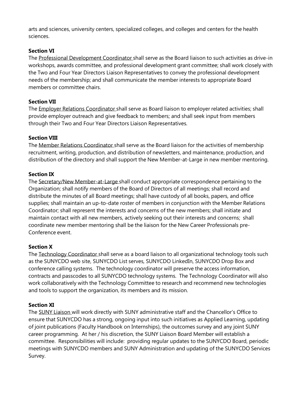arts and sciences, university centers, specialized colleges, and colleges and centers for the health sciences.

# **Section VI**

The Professional Development Coordinator shall serve as the Board liaison to such activities as drive-in workshops, awards committee, and professional development grant committee; shall work closely with the Two and Four Year Directors Liaison Representatives to convey the professional development needs of the membership; and shall communicate the member interests to appropriate Board members or committee chairs.

# **Section VII**

The Employer Relations Coordinator shall serve as Board liaison to employer related activities; shall provide employer outreach and give feedback to members; and shall seek input from members through their Two and Four Year Directors Liaison Representatives.

# **Section VIII**

The Member Relations Coordinator shall serve as the Board liaison for the activities of membership recruitment, writing, production, and distribution of newsletters, and maintenance, production, and distribution of the directory and shall support the New Member-at-Large in new member mentoring.

# **Section IX**

The Secretary/New Member-at-Large shall conduct appropriate correspondence pertaining to the Organization; shall notify members of the Board of Directors of all meetings; shall record and distribute the minutes of all Board meetings; shall have custody of all books, papers, and office supplies; shall maintain an up-to-date roster of members in conjunction with the Member Relations Coordinator; shall represent the interests and concerns of the new members; shall initiate and maintain contact with all new members, actively seeking out their interests and concerns; shall coordinate new member mentoring shall be the liaison for the New Career Professionals pre-Conference event.

# **Section X**

The Technology Coordinator shall serve as a board liaison to all organizational technology tools such as the SUNYCDO web site, SUNYCDO List serves, SUNYCDO LinkedIn, SUNYCDO Drop Box and conference calling systems. The technology coordinator will preserve the access information, contracts and passcodes to all SUNYCDO technology systems. The Technology Coordinator will also work collaboratively with the Technology Committee to research and recommend new technologies and tools to support the organization, its members and its mission.

# **Section XI**

The SUNY Liaison will work directly with SUNY administrative staff and the Chancellor's Office to ensure that SUNYCDO has a strong, ongoing input into such initiatives as Applied Learning, updating of joint publications (Faculty Handbook on Internships), the outcomes survey and any joint SUNY career programming. At her / his discretion, the SUNY Liaison Board Member will establish a committee. Responsibilities will include: providing regular updates to the SUNYCDO Board, periodic meetings with SUNYCDO members and SUNY Administration and updating of the SUNYCDO Services Survey.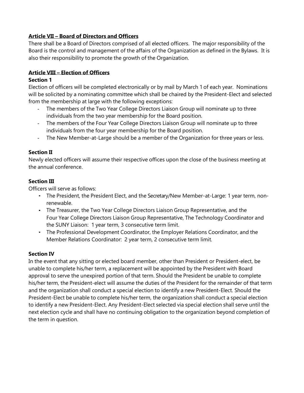#### **Article VII – Board of Directors and Officers**

There shall be a Board of Directors comprised of all elected officers. The major responsibility of the Board is the control and management of the affairs of the Organization as defined in the Bylaws. It is also their responsibility to promote the growth of the Organization.

# **Article VIII – Election of Officers**

# **Section 1**

Election of officers will be completed electronically or by mail by March 1 of each year. Nominations will be solicited by a nominating committee which shall be chaired by the President-Elect and selected from the membership at large with the following exceptions:

- The members of the Two Year College Directors Liaison Group will nominate up to three individuals from the two year membership for the Board position.
- The members of the Four Year College Directors Liaison Group will nominate up to three individuals from the four year membership for the Board position.
- The New Member-at-Large should be a member of the Organization for three years or less.

# **Section II**

Newly elected officers will assume their respective offices upon the close of the business meeting at the annual conference.

# **Section III**

Officers will serve as follows:

- The President, the President Elect, and the Secretary/New Member-at-Large: 1 year term, nonrenewable.
- The Treasurer, the Two Year College Directors Liaison Group Representative, and the Four Year College Directors Liaison Group Representative, The Technology Coordinator and the SUNY Liaison: 1 year term, 3 consecutive term limit.
- The Professional Development Coordinator, the Employer Relations Coordinator, and the Member Relations Coordinator: 2 year term, 2 consecutive term limit.

# **Section IV**

In the event that any sitting or elected board member, other than President or President-elect, be unable to complete his/her term, a replacement will be appointed by the President with Board approval to serve the unexpired portion of that term. Should the President be unable to complete his/her term, the President-elect will assume the duties of the President for the remainder of that term and the organization shall conduct a special election to identify a new President-Elect. Should the President-Elect be unable to complete his/her term, the organization shall conduct a special election to identify a new President-Elect. Any President-Elect selected via special election shall serve until the next election cycle and shall have no continuing obligation to the organization beyond completion of the term in question.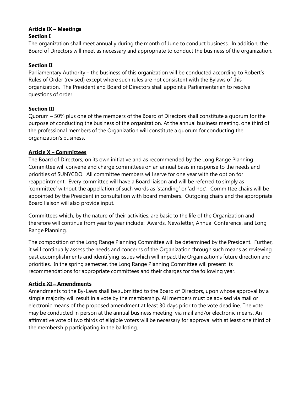# **Article IX – Meetings**

# **Section I**

The organization shall meet annually during the month of June to conduct business. In addition, the Board of Directors will meet as necessary and appropriate to conduct the business of the organization.

# **Section II**

Parliamentary Authority – the business of this organization will be conducted according to Robert's Rules of Order (revised) except where such rules are not consistent with the Bylaws of this organization. The President and Board of Directors shall appoint a Parliamentarian to resolve questions of order.

# **Section III**

Quorum – 50% plus one of the members of the Board of Directors shall constitute a quorum for the purpose of conducting the business of the organization. At the annual business meeting, one third of the professional members of the Organization will constitute a quorum for conducting the organization's business.

# **Article X – Committees**

The Board of Directors, on its own initiative and as recommended by the Long Range Planning Committee will convene and charge committees on an annual basis in response to the needs and priorities of SUNYCDO. All committee members will serve for one year with the option for reappointment. Every committee will have a Board liaison and will be referred to simply as 'committee' without the appellation of such words as 'standing' or 'ad hoc'. Committee chairs will be appointed by the President in consultation with board members. Outgoing chairs and the appropriate Board liaison will also provide input.

Committees which, by the nature of their activities, are basic to the life of the Organization and therefore will continue from year to year include: Awards, Newsletter, Annual Conference, and Long Range Planning.

The composition of the Long Range Planning Committee will be determined by the President. Further, it will continually assess the needs and concerns of the Organization through such means as reviewing past accomplishments and identifying issues which will impact the Organization's future direction and priorities. In the spring semester, the Long Range Planning Committee will present its recommendations for appropriate committees and their charges for the following year.

# **Article XI – Amendments**

Amendments to the By-Laws shall be submitted to the Board of Directors, upon whose approval by a simple majority will result in a vote by the membership. All members must be advised via mail or electronic means of the proposed amendment at least 30 days prior to the vote deadline. The vote may be conducted in person at the annual business meeting, via mail and/or electronic means. An affirmative vote of two thirds of eligible voters will be necessary for approval with at least one third of the membership participating in the balloting.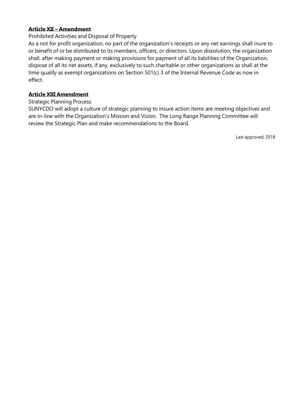#### **Article XII – Amendment**

#### Prohibited Activities and Disposal of Property

As a not for profit organization, no part of the organization's receipts or any net earnings shall inure to or benefit of or be distributed to its members, officers, or directors. Upon dissolution, the organization shall, after making payment or making provisions for payment of all its liabilities of the Organization, dispose of all its net assets, if any, exclusively to such charitable or other organizations as shall at the time qualify as exempt organizations on Section 501(c) 3 of the Internal Revenue Code as now in effect.

#### **Article XIII Amendment**

#### Strategic Planning Process

SUNYCDO will adopt a culture of strategic planning to insure action items are meeting objectives and are in-line with the Organization's Mission and Vision. The Long Range Planning Committee will review the Strategic Plan and make recommendations to the Board.

Last approved: 2018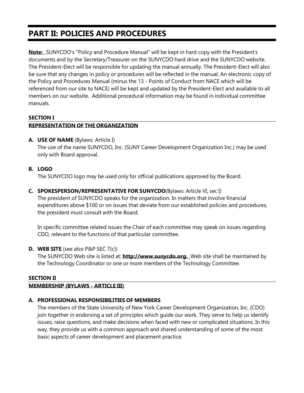# **PART II: POLICIES AND PROCEDURES**

**Note:** SUNYCDO's "Policy and Procedure Manual" will be kept in hard copy with the President's documents and by the Secretary/Treasurer on the SUNYCDO hard drive and the SUNYCDO website. The President-Elect will be responsible for updating the manual annually. The President-Elect will also be sure that any changes in policy or procedures will be reflected in the manual. An electronic copy of the Policy and Procedures Manual (minus the 13 - Points of Conduct from NACE which will be referenced from our site to NACE) will be kept and updated by the President-Elect and available to all members on our website. Additional procedural information may be found in individual committee manuals.

#### **SECTION I**

#### **REPRESENTATION OF THE ORGANIZATION**

#### **A. USE OF NAME** (Bylaws: Article I)

The use of the name SUNYCDO, Inc. (SUNY Career Development Organization Inc.) may be used only with Board approval.

#### **B. LOGO**

The SUNYCDO logo may be used only for official publications approved by the Board.

**C. SPOKESPERSON/REPRESENTATIVE FOR SUNYCDO**(Bylaws: Article VI, sec I) The president of SUNYCDO speaks for the organization. In matters that involve financial expenditures above \$100 or on issues that deviate from our established policies and procedures, the president must consult with the Board.

In specific committee related issues the Chair of each committee may speak on issues regarding CDO, relevant to the functions of that particular committee.

# **D. WEB SITE** (see also P&P SEC 7(c))

The SUNYCDO Web site is listed at: **[http://www.sunycdo.org.](http://www.sunycdo.org/)** Web site shall be maintained by the Technology Coordinator or one or more members of the Technology Committee.

# **SECTION II**

# **MEMBERSHIP (BYLAWS - ARTICLE III)**

# **A. PROFESSIONAL RESPONSIBILITIES OF MEMBERS**

The members of the State University of New York Career Development Organization, Inc. (CDO) join together in endorsing a set of principles which guide our work. They serve to help us identify issues, raise questions, and make decisions when faced with new or complicated situations. In this way, they provide us with a common approach and shared understanding of some of the most basic aspects of career development and placement practice.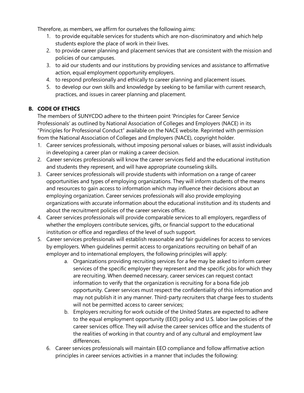Therefore, as members, we affirm for ourselves the following aims:

- 1. to provide equitable services for students which are non-discriminatory and which help students explore the place of work in their lives.
- 2. to provide career planning and placement services that are consistent with the mission and policies of our campuses.
- 3. to aid our students and our institutions by providing services and assistance to affirmative action, equal employment opportunity employers.
- 4. to respond professionally and ethically to career planning and placement issues.
- 5. to develop our own skills and knowledge by seeking to be familiar with current research, practices, and issues in career planning and placement.

# **B. CODE OF ETHICS**

The members of SUNYCDO adhere to the thirteen point 'Principles for Career Service Professionals' as outlined by National Association of Colleges and Employers (NACE) in its "Principles for Professional Conduct" available on the NACE website. Reprinted with permission from the National Association of Colleges and Employers (NACE), copyright holder.

- 1. Career services professionals, without imposing personal values or biases, will assist individuals in developing a career plan or making a career decision.
- 2. Career services professionals will know the career services field and the educational institution and students they represent, and will have appropriate counseling skills.
- 3. Career services professionals will provide students with information on a range of career opportunities and types of employing organizations. They will inform students of the means and resources to gain access to information which may influence their decisions about an employing organization. Career services professionals will also provide employing organizations with accurate information about the educational institution and its students and about the recruitment policies of the career services office.
- 4. Career services professionals will provide comparable services to all employers, regardless of whether the employers contribute services, gifts, or financial support to the educational institution or office and regardless of the level of such support.
- 5. Career services professionals will establish reasonable and fair guidelines for access to services by employers. When guidelines permit access to organizations recruiting on behalf of an employer and to international employers, the following principles will apply:
	- a. Organizations providing recruiting services for a fee may be asked to inform career services of the specific employer they represent and the specific jobs for which they are recruiting. When deemed necessary, career services can request contact information to verify that the organization is recruiting for a bona fide job opportunity. Career services must respect the confidentiality of this information and may not publish it in any manner. Third-party recruiters that charge fees to students will not be permitted access to career services;
	- b. Employers recruiting for work outside of the United States are expected to adhere to the equal employment opportunity (EEO) policy and U.S. labor law policies of the career services office. They will advise the career services office and the students of the realities of working in that country and of any cultural and employment law differences.
	- 6. Career services professionals will maintain EEO compliance and follow affirmative action principles in career services activities in a manner that includes the following: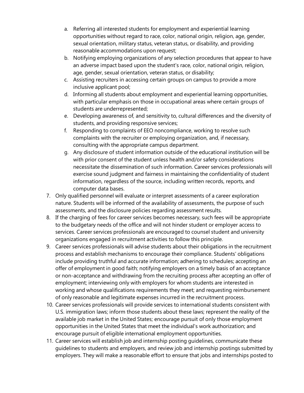- a. Referring all interested students for employment and experiential learning opportunities without regard to race, color, national origin, religion, age, gender, sexual orientation, military status, veteran status, or disability, and providing reasonable accommodations upon request;
- b. Notifying employing organizations of any selection procedures that appear to have an adverse impact based upon the student's race, color, national origin, religion, age, gender, sexual orientation, veteran status, or disability;
- c. Assisting recruiters in accessing certain groups on campus to provide a more inclusive applicant pool;
- d. Informing all students about employment and experiential learning opportunities, with particular emphasis on those in occupational areas where certain groups of students are underrepresented;
- e. Developing awareness of, and sensitivity to, cultural differences and the diversity of students, and providing responsive services;
- f. Responding to complaints of EEO noncompliance, working to resolve such complaints with the recruiter or employing organization, and, if necessary, consulting with the appropriate campus department.
- g. Any disclosure of student information outside of the educational institution will be with prior consent of the student unless health and/or safety considerations necessitate the dissemination of such information. Career services professionals will exercise sound judgment and fairness in maintaining the confidentiality of student information, regardless of the source, including written records, reports, and computer data bases.
- 7. Only qualified personnel will evaluate or interpret assessments of a career exploration nature. Students will be informed of the availability of assessments, the purpose of such assessments, and the disclosure policies regarding assessment results.
- 8. If the charging of fees for career services becomes necessary, such fees will be appropriate to the budgetary needs of the office and will not hinder student or employer access to services. Career services professionals are encouraged to counsel student and university organizations engaged in recruitment activities to follow this principle.
- 9. Career services professionals will advise students about their obligations in the recruitment process and establish mechanisms to encourage their compliance. Students' obligations include providing truthful and accurate information; adhering to schedules; accepting an offer of employment in good faith; notifying employers on a timely basis of an acceptance or non-acceptance and withdrawing from the recruiting process after accepting an offer of employment; interviewing only with employers for whom students are interested in working and whose qualifications requirements they meet; and requesting reimbursement of only reasonable and legitimate expenses incurred in the recruitment process.
- 10. Career services professionals will provide services to international students consistent with U.S. immigration laws; inform those students about these laws; represent the reality of the available job market in the United States; encourage pursuit of only those employment opportunities in the United States that meet the individual's work authorization; and encourage pursuit of eligible international employment opportunities.
- 11. Career services will establish job and internship posting guidelines, communicate these guidelines to students and employers, and review job and internship postings submitted by employers. They will make a reasonable effort to ensure that jobs and internships posted to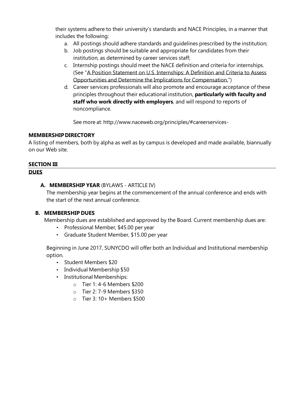their systems adhere to their university's standards and NACE Principles, in a manner that includes the following:

- a. All postings should adhere standards and guidelines prescribed by the institution;
- b. Job postings should be suitable and appropriate for candidates from their institution, as determined by career services staff;
- c. Internship postings should meet the NACE definition and criteria for internships. (See "A Position Statement on U.S. Internships: A Definition and Criteria to Assess Opportunities and Determine the Implications for Compensation.")
- d. Career services professionals will also promote and encourage acceptance of these principles throughout their educational institution, **particularly with faculty and staff who work directly with employers**, and will respond to reports of noncompliance.

See more at: <http://www.naceweb.org/principles/#careerservices->

#### **MEMBERSHIPDIRECTORY**

A listing of members, both by alpha as well as by campus is developed and made available, biannually on our Web site.

# <span id="page-12-0"></span>**SECTION III**

#### **DUES**

# **A. MEMBERSHIP YEAR** (BYLAWS - ARTICLE IV)

The membership year begins at the commencement of the annual conference and ends with the start of the next annual conference.

# **B. MEMBERSHIP DUES**

Membership dues are established and approved by the Board. Current membership dues are:

- Professional Member, \$45.00 per year
- Graduate Student Member, \$15.00 per year

Beginning in June 2017, SUNYCDO will offer both an Individual and Institutional membership option.

- Student Members \$20
- Individual Membership \$50
- Institutional Memberships:
	- o Tier 1: 4-6 Members \$200
	- o Tier 2: 7-9 Members \$350
	- o Tier 3: 10+ Members \$500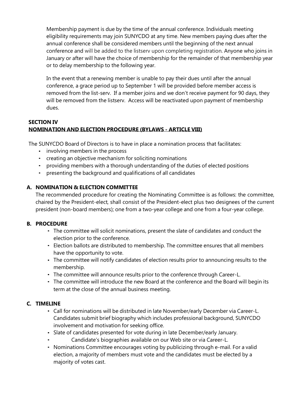Membership payment is due by the time of the annual conference. Individuals meeting eligibility requirements may join SUNYCDO at any time. New members paying dues after the annual conference shall be considered members until the beginning of the next annual conference and will be added to the listserv upon completing registration. Anyone who joins in January or after will have the choice of membership for the remainder of that membership year or to delay membership to the following year.

In the event that a renewing member is unable to pay their dues until after the annual conference, a grace period up to September 1 will be provided before member access is removed from the list-serv. If a member joins and we don't receive payment for 90 days, they will be removed from the listserv. Access will be reactivated upon payment of membership dues.

# **SECTION IV NOMINATION AND ELECTION PROCEDURE (BYLAWS - ARTICLE VIII)**

The SUNYCDO Board of Directors is to have in place a nomination process that facilitates:

- involving members in the process
- creating an objective mechanism for soliciting nominations
- providing members with a thorough understanding of the duties of elected positions
- presenting the background and qualifications of all candidates

# **A. NOMINATION & ELECTION COMMITTEE**

The recommended procedure for creating the Nominating Committee is as follows: the committee, chaired by the President-elect, shall consist of the President-elect plus two designees of the current president (non-board members); one from a two-year college and one from a four-year college.

# **B. PROCEDURE**

- The committee will solicit nominations, present the slate of candidates and conduct the election prior to the conference.
- Election ballots are distributed to membership. The committee ensures that all members have the opportunity to vote.
- The committee will notify candidates of election results prior to announcing results to the membership.
- The committee will announce results prior to the conference through Career-L.
- The committee will introduce the new Board at the conference and the Board will begin its term at the close of the annual business meeting.

# **C. TIMELINE**

- Call for nominations will be distributed in late November/early December via Career-L. Candidates submit brief biography which includes professional background, SUNYCDO involvement and motivation for seeking office.
- Slate of candidates presented for vote during in late December/early January.
	- Candidate's biographies available on our Web site or via Career-L.
- Nominations Committee encourages voting by publicizing through e-mail. For a valid election, a majority of members must vote and the candidates must be elected by a majority of votes cast.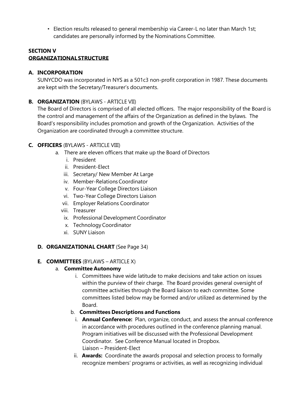Election results released to general membership via Career-L no later than March 1st; candidates are personally informed by the Nominations Committee.

#### **SECTION V ORGANIZATIONALSTRUCTURE**

# **A. INCORPORATION**

SUNYCDO was incorporated in NYS as a 501c3 non-profit corporation in 1987. These documents are kept with the Secretary/Treasurer's documents.

# **B. ORGANIZATION** (BYLAWS - ARTICLE VII)

The Board of Directors is comprised of all elected officers. The major responsibility of the Board is the control and management of the affairs of the Organization as defined in the bylaws. The Board's responsibility includes promotion and growth of the Organization. Activities of the Organization are coordinated through a committee structure.

# **C. OFFICERS** (BYLAWS - ARTICLE VIII)

- a. There are eleven officers that make up the Board of Directors
	- i. President
	- ii. President-Elect
	- iii. Secretary/ New Member At Large
	- iv. Member-RelationsCoordinator
	- v. Four-Year College Directors Liaison
	- vi. Two-Year College Directors Liaison
	- vii. Employer Relations Coordinator
	- viii. Treasurer
	- ix. Professional Development Coordinator
	- x. Technology Coordinator
	- xi. SUNY Liaison

# **D. ORGANIZATIONAL CHART** (See Page 34)

# **E. COMMITTEES** (BYLAWS – ARTICLE X)

# a. **Committee Autonomy**

i. Committees have wide latitude to make decisions and take action on issues within the purview of their charge. The Board provides general oversight of committee activities through the Board liaison to each committee. Some committees listed below may be formed and/or utilized as determined by the Board.

# b. **Committees Descriptions and Functions**

- i. **Annual Conference:** Plan, organize, conduct, and assess the annual conference in accordance with procedures outlined in the conference planning manual. Program initiatives will be discussed with the Professional Development Coordinator. See Conference Manual located in Dropbox. Liaison – President-Elect
- ii. **Awards:** Coordinate the awards proposal and selection process to formally recognize members' programs or activities, as well as recognizing individual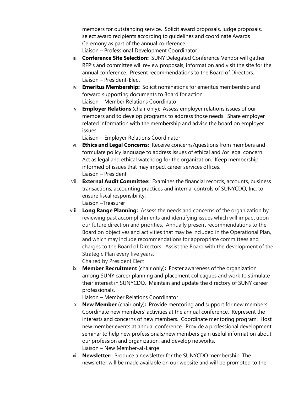members for outstanding service. Solicit award proposals, judge proposals, select award recipients according to guidelines and coordinate Awards Ceremony as part of the annual conference. Liaison – Professional Development Coordinator

- iii. **Conference Site Selection:** SUNY Delegated Conference Vendor will gather RFP's and committee will review proposals, information and visit the site for the annual conference. Present recommendations to the Board of Directors. Liaison – President-Elect
- iv. **Emeritus Membership:** Solicit nominations for emeritus membership and forward supporting documents to Board for action. Liaison – Member Relations Coordinator
- v. **Employer Relations** (chair only): Assess employer relations issues of our members and to develop programs to address those needs. Share employer related information with the membership and advise the board on employer issues.

Liaison – Employer Relations Coordinator

- vi. **Ethics and Legal Concerns:** Receive concerns/questions from members and formulate policy language to address issues of ethical and /or legal concern. Act as legal and ethical watchdog for the organization. Keep membership informed of issues that may impact career services offices. Liaison – President
- vii. **External Audit Committee:** Examines the financial records, accounts, business transactions, accounting practices and internal controls of SUNYCDO, Inc. to ensure fiscal responsibility. Liaison –Treasurer
- viii. **Long Range Planning:** Assess the needs and concerns of the organization by reviewing past accomplishments and identifying issues which will impact upon our future direction and priorities. Annually present recommendations to the Board on objectives and activities that may be included in the Operational Plan, and which may include recommendations for appropriate committees and charges to the Board of Directors. Assist the Board with the development of the Strategic Plan every five years.

Chaired by President Elect

ix. **Member Recruitment** (chair only)**:** Foster awareness of the organization among SUNY career planning and placement colleagues and work to stimulate their interest in SUNYCDO. Maintain and update the directory of SUNY career professionals.

Liaison – Member Relations Coordinator

- x. **New Member** (chair only)**:** Provide mentoring and support for new members. Coordinate new members' activities at the annual conference. Represent the interests and concerns of new members. Coordinate mentoring program. Host new member events at annual conference. Provide a professional development seminar to help new professionals/new members gain useful information about our profession and organization, and develop networks. Liaison – New Member-at-Large
- xi. **Newsletter:** Produce a newsletter for the SUNYCDO membership. The newsletter will be made available on our website and will be promoted to the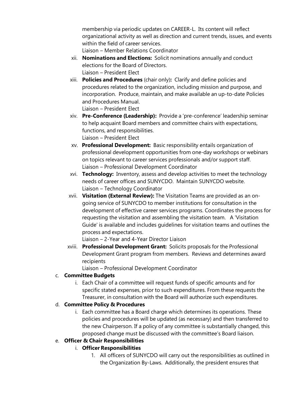membership via periodic updates on CAREER-L. Its content will reflect organizational activity as well as direction and current trends, issues, and events within the field of career services.

Liaison – Member Relations Coordinator

- xii. **Nominations and Elections:** Solicit nominations annually and conduct elections for the Board of Directors. Liaison – President Elect
- xiii. **Policies and Procedures** (chair only)**:** Clarify and define policies and procedures related to the organization, including mission and purpose, and incorporation. Produce, maintain, and make available an up-to-date Policies and Procedures Manual. Liaison – President Elect
- xiv. **Pre-Conference (Leadership):** Provide a 'pre-conference' leadership seminar to help acquaint Board members and committee chairs with expectations, functions, and responsibilities. Liaison – President Elect
- xv. **Professional Development:** Basic responsibility entails organization of professional development opportunities from one-day workshops or webinars on topics relevant to career services professionals and/or support staff. Liaison – Professional Development Coordinator
- xvi. **Technology:** Inventory, assess and develop activities to meet the technology needs of career offices and SUNYCDO. Maintain SUNYCDO website. Liaison – Technology Coordinator
- xvii. **Visitation (External Review):** The Visitation Teams are provided as an ongoing service of SUNYCDO to member institutions for consultation in the development of effective career services programs. Coordinates the process for requesting the visitation and assembling the visitation team. A 'Visitation Guide' is available and includes guidelines for visitation teams and outlines the process and expectations.

Liaison – 2-Year and 4-Year Director Liaison

xviii. **Professional Development Grant:** Solicits proposals for the Professional Development Grant program from members. Reviews and determines award recipients

Liaison – Professional Development Coordinator

# c. **Committee Budgets**

i. Each Chair of a committee will request funds of specific amounts and for specific stated expenses, prior to such expenditures. From these requests the Treasurer, in consultation with the Board will authorize such expenditures.

# d. **Committee Policy & Procedures**

i. Each committee has a Board charge which determines its operations. These policies and procedures will be updated (as necessary) and then transferred to the new Chairperson. If a policy of any committee is substantially changed, this proposed change must be discussed with the committee's Board liaison.

# e. **Officer & Chair Responsibilities**

- i. **Officer Responsibilities**
	- 1. All officers of SUNYCDO will carry out the responsibilities as outlined in the Organization By-Laws. Additionally, the president ensures that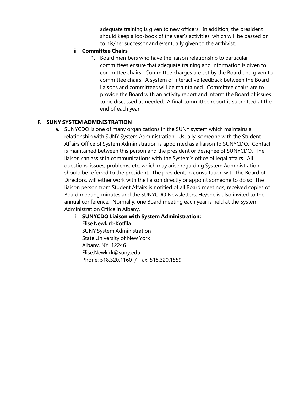adequate training is given to new officers. In addition, the president should keep a log-book of the year's activities, which will be passed on to his/her successor and eventually given to the archivist.

#### ii. **Committee Chairs**

1. Board members who have the liaison relationship to particular committees ensure that adequate training and information is given to committee chairs. Committee charges are set by the Board and given to committee chairs. A system of interactive feedback between the Board liaisons and committees will be maintained. Committee chairs are to provide the Board with an activity report and inform the Board of issues to be discussed as needed. A final committee report is submitted at the end of each year.

# **F. SUNY SYSTEM ADMINISTRATION**

a. SUNYCDO is one of many organizations in the SUNY system which maintains a relationship with SUNY System Administration. Usually, someone with the Student Affairs Office of System Administration is appointed as a liaison to SUNYCDO. Contact is maintained between this person and the president or designee of SUNYCDO. The liaison can assist in communications with the System's office of legal affairs. All questions, issues, problems, etc. which may arise regarding System Administration should be referred to the president. The president, in consultation with the Board of Directors, will either work with the liaison directly or appoint someone to do so. The liaison person from Student Affairs is notified of all Board meetings, received copies of Board meeting minutes and the SUNYCDO Newsletters. He/she is also invited to the annual conference. Normally, one Board meeting each year is held at the System Administration Office in Albany.

# i. **SUNYCDO Liaison with System Administration:**

Elise Newkirk-Kotfila SUNY System Administration State University of New York Albany, NY 1224[6](mailto:Elise.Newkirk@suny.edu) [Elise.Newkir](mailto:Elise.Newkirk@suny.edu)[k@suny.edu](mailto:k@suny.edu) Phone: 518.320.1160 / Fax: 518.320.1559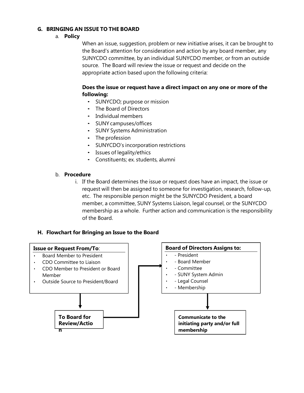#### **G. BRINGING AN ISSUE TO THE BOARD**

#### a. **Policy**

When an issue, suggestion, problem or new initiative arises, it can be brought to the Board's attention for consideration and action by any board member, any SUNYCDO committee, by an individual SUNYCDO member, or from an outside source. The Board will review the issue or request and decide on the appropriate action based upon the following criteria:

# **Does the issue or request have a direct impact on any one or more of the following:**

- SUNYCDO; purpose or mission
- The Board of Directors
- Individual members
- SUNY campuses/offices
- SUNY Systems Administration
- The profession
- SUNYCDO's incorporation restrictions
- Issues of legality/ethics
- Constituents; ex. students, alumni

#### b. **Procedure**

i. If the Board determines the issue or request does have an impact, the issue or request will then be assigned to someone for investigation, research, follow-up, etc. The responsible person might be the SUNYCDO President, a board member, a committee, SUNY Systems Liaison, legal counsel, or the SUNYCDO membership as a whole. Further action and communication is the responsibility of the Board.

#### **H. Flowchart for Bringing an Issue to the Board**

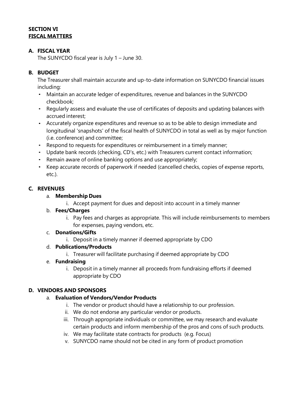#### **SECTION VI FISCAL MATTERS**

# **A. FISCAL YEAR**

The SUNYCDO fiscal year is July 1 – June 30.

# **B. BUDGET**

The Treasurer shall maintain accurate and up-to-date information on SUNYCDO financial issues including:

- Maintain an accurate ledger of expenditures, revenue and balances in the SUNYCDO checkbook;
- Regularly assess and evaluate the use of certificates of deposits and updating balances with accrued interest;
- Accurately organize expenditures and revenue so as to be able to design immediate and longitudinal 'snapshots' of the fiscal health of SUNYCDO in total as well as by major function (i.e. conference) and committee;
- Respond to requests for expenditures or reimbursement in a timely manner;
- Update bank records (checking, CD's, etc.) with Treasurers current contact information;
- Remain aware of online banking options and use appropriately;
- Keep accurate records of paperwork if needed (cancelled checks, copies of expense reports, etc.).

# **C. REVENUES**

# a. **Membership Dues**

i. Accept payment for dues and deposit into account in a timely manner

# b. **Fees/Charges**

i. Pay fees and charges as appropriate. This will include reimbursements to members for expenses, paying vendors, etc.

# c. **Donations/Gifts**

i. Deposit in a timely manner if deemed appropriate by CDO

# d. **Publications/Products**

- i. Treasurer will facilitate purchasing if deemed appropriate by CDO
- e. **Fundraising**
	- i. Deposit in a timely manner all proceeds from fundraising efforts if deemed appropriate by CDO

# **D. VENDORS AND SPONSORS**

# a. **Evaluation of Vendors/Vendor Products**

- i. The vendor or product should have a relationship to our profession.
- ii. We do not endorse any particular vendor or products.
- iii. Through appropriate individuals or committee, we may research and evaluate certain products and inform membership of the pros and cons of such products.
- iv. We may facilitate state contracts for products (e.g. Focus)
- v. SUNYCDO name should not be cited in any form of product promotion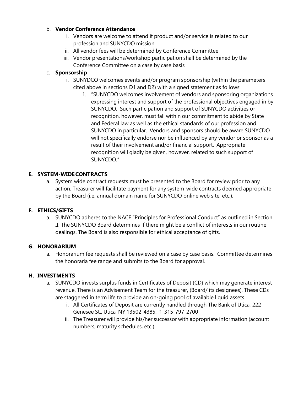# b. **Vendor Conference Attendance**

- i. Vendors are welcome to attend if product and/or service is related to our profession and SUNYCDO mission
- ii. All vendor fees will be determined by Conference Committee
- iii. Vendor presentations/workshop participation shall be determined by the Conference Committee on a case by case basis

# c. **Sponsorship**

- i. SUNYDCO welcomes events and/or program sponsorship (within the parameters cited above in sections D1 and D2) with a signed statement as follows:
	- 1. "SUNYCDO welcomes involvement of vendors and sponsoring organizations expressing interest and support of the professional objectives engaged in by SUNYCDO. Such participation and support of SUNYCDO activities or recognition, however, must fall within our commitment to abide by State and Federal law as well as the ethical standards of our profession and SUNYCDO in particular. Vendors and sponsors should be aware SUNYCDO will not specifically endorse nor be influenced by any vendor or sponsor as a result of their involvement and/or financial support. Appropriate recognition will gladly be given, however, related to such support of SUNYCDO."

# **E. SYSTEM-WIDECONTRACTS**

a. System wide contract requests must be presented to the Board for review prior to any action. Treasurer will facilitate payment for any system-wide contracts deemed appropriate by the Board (i.e. annual domain name for SUNYCDO online web site, etc.).

# **F. ETHICS/GIFTS**

a. SUNYCDO adheres to the NACE "Principles for Professional Conduct" as outlined in Section II. The SUNYCDO Board determines if there might be a conflict of interests in our routine dealings. The Board is also responsible for ethical acceptance of gifts.

# **G. HONORARIUM**

a. Honorarium fee requests shall be reviewed on a case by case basis. Committee determines the honoraria fee range and submits to the Board for approval.

# **H. INVESTMENTS**

- a. SUNYCDO invests surplus funds in Certificates of Deposit (CD) which may generate interest revenue. There is an Advisement Team for the treasurer, (Board/ its designees). These CDs are staggered in term life to provide an on-going pool of available liquid assets.
	- i. All Certificates of Deposit are currently handled through The Bank of Utica, 222 Genesee St., Utica, NY 13502-4385. 1-315-797-2700
	- ii. The Treasurer will provide his/her successor with appropriate information (account numbers, maturity schedules, etc.).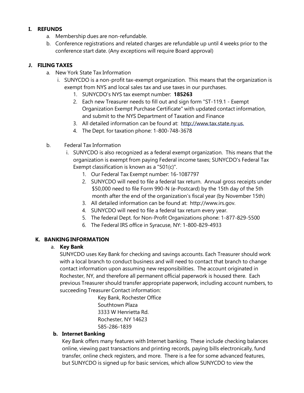#### **I. REFUNDS**

- a. Membership dues are non-refundable.
- b. Conference registrations and related charges are refundable up until 4 weeks prior to the conference start date. (Any exceptions will require Board approval)

# **J. FILING TAXES**

- a. New York State Tax Information
	- i. SUNYCDO is a non-profit tax-exempt organization. This means that the organization is exempt from NYS and local sales tax and use taxes in our purchases.
		- 1. SUNYCDO's NYS tax exempt number: **185263**
		- 2. Each new Treasurer needs to fill out and sign form "ST-119.1 Exempt Organization Exempt Purchase Certificate" with updated contact information, and submit to the NYS Department of Taxation and Finance
		- 3. All detailed information can be found at: [http://www.tax.state.ny.us.](http://www.tax.state.ny.us/)
		- 4. The Dept. for taxation phone: 1-800-748-3678
- b. Federal Tax Information
	- i. SUNYCDO is also recognized as a federal exempt organization. This means that the organization is exempt from paying Federal income taxes; SUNYCDO's Federal Tax Exempt classification is known as a "501(c)".
		- 1. Our Federal Tax Exempt number: 16-1087797
		- 2. SUNYCDO will need to file a federal tax return. Annual gross receipts under \$50,000 need to file Form 990-N (e-Postcard) by the 15th day of the 5th month after the end of the organization's fiscal year (by November 15th)
		- 3. All detailed information can be found at: [http://www.irs.gov.](http://www.irs.gov/)
		- 4. SUNYCDO will need to file a federal tax return every year.
		- 5. The federal Dept. for Non-Profit Organizations phone: 1-877-829-5500
		- 6. The Federal IRS office in Syracuse, NY: 1-800-829-4933

# **K. BANKING INFORMATION**

# a. **Key Bank**

SUNYCDO uses Key Bank for checking and savings accounts. Each Treasurer should work with a local branch to conduct business and will need to contact that branch to change contact information upon assuming new responsibilities. The account originated in Rochester, NY, and therefore all permanent official paperwork is housed there. Each previous Treasurer should transfer appropriate paperwork, including account numbers, to succeeding Treasurer Contact information:

> Key Bank, Rochester Office Southtown Plaza 3333 W Henrietta Rd. Rochester, NY 14623 585-286-1839

# **b. Internet Banking**

Key Bank offers many features with Internet banking. These include checking balances online, viewing past transactions and printing records, paying bills electronically, fund transfer, online check registers, and more. There is a fee for some advanced features, but SUNYCDO is signed up for basic services, which allow SUNYCDO to view the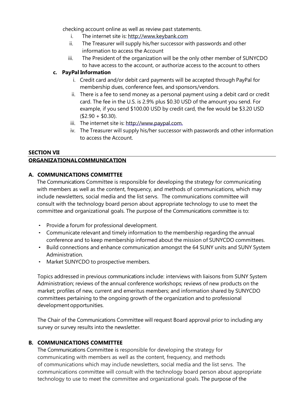checking account online as well as review past statements.

- i. The internet site is: [http://www.keybank.com](http://www.keybank.com/)
- ii. The Treasurer will supply his/her successor with passwords and other information to access the Account
- iii. The President of the organization will be the only other member of SUNYCDO to have access to the account, or authorize access to the account to others

#### **c. PayPal Information**

- i. Credit card and/or debit card payments will be accepted through PayPal for membership dues, conference fees, and sponsors/vendors.
- ii. There is a fee to send money as a personal payment using a debit card or credit card. The fee in the U.S. is 2.9% plus \$0.30 USD of the amount you send. For example, if you send \$100.00 USD by credit card, the fee would be \$3.20 USD  $($2.90 + $0.30).$
- iii. The internet site is: [http://www.paypal.com.](http://www.paypal.com/)
- iv. The Treasurer will supply his/her successor with passwords and other information to access the Account.

#### **SECTION VII ORGANIZATIONALCOMMUNICATION**

#### **A. COMMUNICATIONS COMMITTEE**

The Communications Committee is responsible for developing the strategy for communicating with members as well as the content, frequency, and methods of communications, which may include newsletters, social media and the list servs. The communications committee will consult with the technology board person about appropriate technology to use to meet the committee and organizational goals. The purpose of the Communications committee is to:

- Provide a forum for professional development.
- Communicate relevant and timely information to the membership regarding the annual conference and to keep membership informed about the mission of SUNYCDO committees.
- Build connections and enhance communication amongst the 64 SUNY units and SUNY System Administration.
- Market SUNYCDO to prospective members.

Topics addressed in previous communications include: interviews with liaisons from SUNY System Administration; reviews of the annual conference workshops; reviews of new products on the market; profiles of new, current and emeritus members; and information shared by SUNYCDO committees pertaining to the ongoing growth of the organization and to professional development opportunities.

The Chair of the Communications Committee will request Board approval prior to including any survey or survey results into the newsletter.

# **B. COMMUNICATIONS COMMITTEE**

The Communications Committee is responsible for developing the strategy for communicating with members as well as the content, frequency, and methods of communications which may include newsletters, social media and the list servs. The communications committee will consult with the technology board person about appropriate technology to use to meet the committee and organizational goals. The purpose of the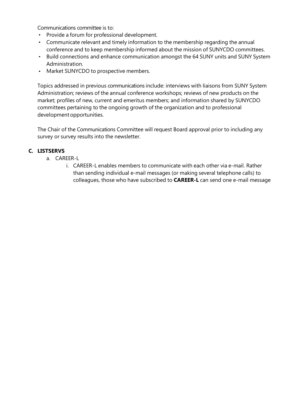Communications committee is to:

- Provide a forum for professional development.
- Communicate relevant and timely information to the membership regarding the annual conference and to keep membership informed about the mission of SUNYCDO committees.
- Build connections and enhance communication amongst the 64 SUNY units and SUNY System Administration.
- Market SUNYCDO to prospective members.

Topics addressed in previous communications include: interviews with liaisons from SUNY System Administration; reviews of the annual conference workshops; reviews of new products on the market; profiles of new, current and emeritus members; and information shared by SUNYCDO committees pertaining to the ongoing growth of the organization and to professional development opportunities.

The Chair of the Communications Committee will request Board approval prior to including any survey or survey results into the newsletter.

# **C. LISTSERVS**

- a. CAREER-L
	- i. CAREER-L enables members to communicate with each other via e-mail. Rather than sending individual e-mail messages (or making several telephone calls) to colleagues, those who have subscribed to **CAREER-L** can send one e-mail message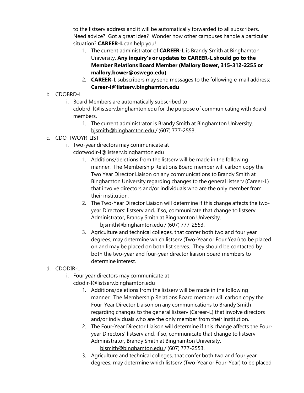to the listserv address and it will be automatically forwarded to all subscribers. Need advice? Got a great idea? Wonder how other campuses handle a particular situation? **CAREER-L** can help you!

- 1. The current administrator of **CAREER-L** is Brandy Smith at Binghamton University. **Any inquiry's or updates to CAREER-L should go to the Member Relations Board Member (Mallory Bower, 315-312-2255 or mallory.bower@oswego.edu)**
- 2. **CAREER-L** subscribers may send messages to the following e-mail address: **[Career-l@listserv.binghamton.edu](mailto:Career-l@listserv.binghamton.edu)**
- b. CDOBRD-L
	- i. Board Members are automatically subscribed to [cdobrd-l@listserv.binghamton.edu](mailto:cdobrd-l@listserv.binghamton.edu) for the purpose of communicating with Board members.
		- 1. The current administrator is Brandy Smith at Binghamton University. [bjsmith@binghamton.edu](mailto:bjsmith@binghamton.edu) / (607) 777-2553.
- c. CDO-TWOYR-LIST
	- i. Two-year directors may communicate a[t](mailto:cdotwodir-l@listserv.binghamton.edu) [cdotwodir-l@listserv.binghamton.edu](mailto:cdotwodir-l@listserv.binghamton.edu)
		- 1. Additions/deletions from the listserv will be made in the following manner: The Membership Relations Board member will carbon copy the Two Year Director Liaison on any communications to Brandy Smith at Binghamton University regarding changes to the general listserv (Career-L) that involve directors and/or individuals who are the only member from their institution.
		- 2. The Two-Year Director Liaison will determine if this change affects the twoyear Directors' listserv and, if so, communicate that change to listserv Administrator, Brandy Smith at Binghamton University. [bjsmith@binghamton.edu](mailto:bjsmith@binghamton.edu) / (607) 777-2553.
		- 3. Agriculture and technical colleges, that confer both two and four year degrees, may determine which listserv (Two-Year or Four Year) to be placed on and may be placed on both list serves. They should be contacted by both the two-year and four-year director liaison board members to determine interest.

# d. CDODIR-L

- i. Four year directors may communicate at [cdodir-l@listserv.binghamton.edu](mailto:cdodir-l@listserv.binghamton.edu)
	- 1. Additions/deletions from the listserv will be made in the following manner: The Membership Relations Board member will carbon copy the Four-Year Director Liaison on any communications to Brandy Smith regarding changes to the general listserv (Career-L) that involve directors and/or individuals who are the only member from their institution.
	- 2. The Four-Year Director Liaison will determine if this change affects the Fouryear Directors' listserv and, if so, communicate that change to listserv Administrator, Brandy Smith at Binghamton University. [bjsmith@binghamton.edu](mailto:bjsmith@binghamton.edu) / (607) 777-2553.
	- 3. Agriculture and technical colleges, that confer both two and four year degrees, may determine which listserv (Two-Year or Four-Year) to be placed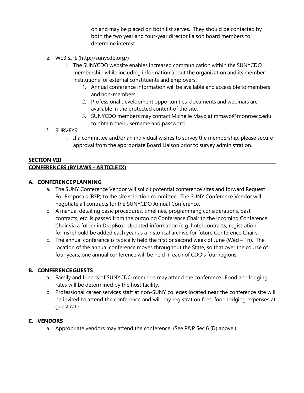on and may be placed on both list serves. They should be contacted by both the two year and four-year director liaison board members to determine interest.

- e. WEB SITE [\(http://sunycdo.org/\)](http://sunycdo.org/))
	- i. The SUNYCDO website enables increased communication within the SUNYCDO membership while including information about the organization and its member institutions for external constituents and employers.
		- 1. Annual conference information will be available and accessible to members and non-members.
		- 2. Professional development opportunities, documents and webinars are available in the protected content of the site.
		- 3. SUNYCDO members may contact Michelle Mayo at [mmayo@monroecc.edu](mailto:mmayo@monroecc.edu) to obtain their username and password.
- f. SURVEYS
	- i. If a committee and/or an individual wishes to survey the membership, please secure approval from the appropriate Board Liaison prior to survey administration.

# **SECTION VIII**

# **CONFERENCES (BYLAWS - ARTICLE IX)**

#### **A. CONFERENCEPLANNING**

- a. The SUNY Conference Vendor will solicit potential conference sites and forward Request For Proposals (RFP) to the site selection committee. The SUNY Conference Vendor will negotiate all contracts for the SUNYCDO Annual Conference.
- b. A manual detailing basic procedures, timelines, programming considerations, past contracts, etc. is passed from the outgoing Conference Chair to the incoming Conference Chair via a folder in DropBox. Updated information (e.g. hotel contracts, registration forms) should be added each year as a historical archive for future Conference Chairs.
- c. The annual conference is typically held the first or second week of June (Wed Fri). The location of the annual conference moves throughout the State, so that over the course of four years, one annual conference will be held in each of CDO's four regions.

# **B. CONFERENCE GUESTS**

- a. Family and friends of SUNYCDO members may attend the conference. Food and lodging rates will be determined by the host facility.
- b. Professional career services staff at non-SUNY colleges located near the conference site will be invited to attend the conference and will pay registration fees, food lodging expenses at guest rate.

# **C. VENDORS**

a. Appropriate vendors may attend the conference. (See P&P Sec 6 (D) above.)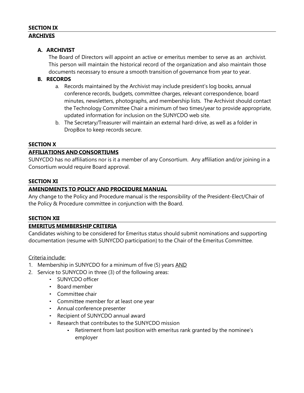#### **SECTION IX ARCHIVES**

# **A. ARCHIVIST**

The Board of Directors will appoint an active or emeritus member to serve as an archivist. This person will maintain the historical record of the organization and also maintain those documents necessary to ensure a smooth transition of governance from year to year.

# **B. RECORDS**

- a. Records maintained by the Archivist may include president's log books, annual conference records, budgets, committee charges, relevant correspondence, board minutes, newsletters, photographs, and membership lists. The Archivist should contact the Technology Committee Chair a minimum of two times/year to provide appropriate, updated information for inclusion on the SUNYCDO web site.
- b. The Secretary/Treasurer will maintain an external hard-drive, as well as a folder in DropBox to keep records secure.

# **SECTION X**

#### **AFFILIATIONS AND CONSORTIUMS**

SUNYCDO has no affiliations nor is it a member of any Consortium. Any affiliation and/or joining in a Consortium would require Board approval.

#### **SECTION XI**

#### **AMENDMENTS TO POLICY AND PROCEDURE MANUAL**

Any change to the Policy and Procedure manual is the responsibility of the President-Elect/Chair of the Policy & Procedure committee in conjunction with the Board.

# **SECTION XII**

# **EMERITUS MEMBERSHIP CRITERIA**

Candidates wishing to be considered for Emeritus status should submit nominations and supporting documentation (resume with SUNYCDO participation) to the Chair of the Emeritus Committee.

#### Criteria include:

- 1. Membership in SUNYCDO for a minimum of five (5) years AND
- 2. Service to SUNYCDO in three (3) of the following areas:
	- SUNYCDO officer
	- Board member
	- Committee chair
	- Committee member for at least one year
	- Annual conference presenter
	- Recipient of SUNYCDO annual award
	- Research that contributes to the SUNYCDO mission
		- Retirement from last position with emeritus rank granted by the nominee's employer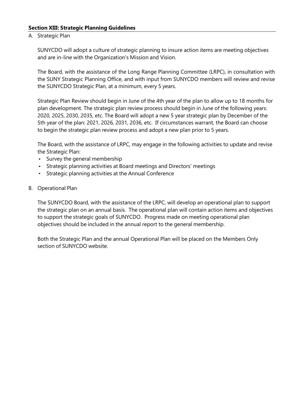#### **Section XIII: Strategic Planning Guidelines**

#### A. Strategic Plan

SUNYCDO will adopt a culture of strategic planning to insure action items are meeting objectives and are in-line with the Organization's Mission and Vision.

The Board, with the assistance of the Long Range Planning Committee (LRPC), in consultation with the SUNY Strategic Planning Office, and with input from SUNYCDO members will review and revise the SUNYCDO Strategic Plan, at a minimum, every 5 years.

Strategic Plan Review should begin in June of the 4th year of the plan to allow up to 18 months for plan development. The strategic plan review process should begin in June of the following years: 2020, 2025, 2030, 2035, etc. The Board will adopt a new 5 year strategic plan by December of the 5th year of the plan: 2021, 2026, 2031, 2036, etc. If circumstances warrant, the Board can choose to begin the strategic plan review process and adopt a new plan prior to 5 years.

The Board, with the assistance of LRPC, may engage in the following activities to update and revise the Strategic Plan:

- Survey the general membership
- Strategic planning activities at Board meetings and Directors' meetings
- Strategic planning activities at the Annual Conference
- B. Operational Plan

The SUNYCDO Board, with the assistance of the LRPC, will develop an operational plan to support the strategic plan on an annual basis. The operational plan will contain action items and objectives to support the strategic goals of SUNYCDO. Progress made on meeting operational plan objectives should be included in the annual report to the general membership.

Both the Strategic Plan and the annual Operational Plan will be placed on the Members Only section of SUNYCDO website.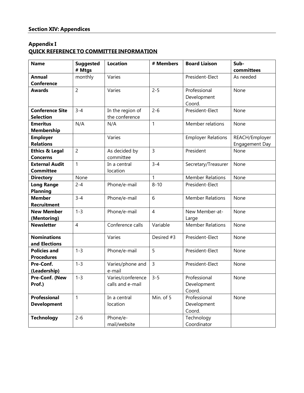# **Appendix I QUICK REFERENCE TO COMMITTEE INFORMATION**

| <b>Name</b>               | <b>Suggested</b> | <b>Location</b>   | # Members      | <b>Board Liaison</b>      | Sub-           |
|---------------------------|------------------|-------------------|----------------|---------------------------|----------------|
|                           | # Mtgs           |                   |                |                           | committees     |
| <b>Annual</b>             | monthly          | Varies            |                | President-Elect           | As needed      |
| <b>Conference</b>         |                  |                   |                |                           |                |
| <b>Awards</b>             | $\overline{c}$   | Varies            | $2 - 5$        | Professional              | None           |
|                           |                  |                   |                | Development               |                |
|                           |                  |                   |                | Coord.                    |                |
| <b>Conference Site</b>    | $3 - 4$          | In the region of  | $2 - 6$        | President-Elect           | None           |
| <b>Selection</b>          |                  | the conference    |                |                           |                |
| <b>Emeritus</b>           | N/A              | N/A               | 1              | Member relations          | None           |
| <b>Membership</b>         |                  |                   |                |                           |                |
| <b>Employer</b>           |                  | Varies            |                | <b>Employer Relations</b> | REACH/Employer |
| <b>Relations</b>          |                  |                   |                |                           | Engagement Day |
| <b>Ethics &amp; Legal</b> | $\overline{2}$   | As decided by     | $\overline{3}$ | President                 | None           |
| <b>Concerns</b>           |                  | committee         |                |                           |                |
| <b>External Audit</b>     | $\mathbf{1}$     | In a central      | $3 - 4$        | Secretary/Treasurer       | None           |
| <b>Committee</b>          |                  | location          |                |                           |                |
| <b>Directory</b>          | None             |                   | 1              | <b>Member Relations</b>   | None           |
| <b>Long Range</b>         | $2 - 4$          | Phone/e-mail      | $8 - 10$       | President-Elect           |                |
| <b>Planning</b>           |                  |                   |                |                           |                |
| <b>Member</b>             | $3 - 4$          | Phone/e-mail      | 6              | <b>Member Relations</b>   | None           |
| <b>Recruitment</b>        |                  |                   |                |                           |                |
| <b>New Member</b>         | $1 - 3$          | Phone/e-mail      | $\overline{4}$ | New Member-at-            | None           |
| (Mentoring)               |                  |                   |                | Large                     |                |
| <b>Newsletter</b>         | $\overline{4}$   | Conference calls  | Variable       | <b>Member Relations</b>   | None           |
| <b>Nominations</b>        |                  | Varies            | Desired #3     | President-Elect           | None           |
| and Elections             |                  |                   |                |                           |                |
| <b>Policies and</b>       | $1 - 3$          | Phone/e-mail      | 5              | President-Elect           | None           |
| <b>Procedures</b>         |                  |                   |                |                           |                |
| Pre-Conf.                 | $1 - 3$          | Varies/phone and  | $\overline{3}$ | President-Elect           | None           |
| (Leadership)              |                  | e-mail            |                |                           |                |
| Pre-Conf. (New            | $1 - 3$          | Varies/conference | $3 - 5$        | Professional              | None           |
| Prof.)                    |                  | calls and e-mail  |                | Development               |                |
|                           |                  |                   |                | Coord.                    |                |
| Professional              | 1                | In a central      | Min. of 5      | Professional              | None           |
| <b>Development</b>        |                  | location          |                | Development               |                |
|                           |                  |                   |                | Coord.                    |                |
| <b>Technology</b>         | $2 - 6$          | Phone/e-          |                | Technology                |                |
|                           |                  | mail/website      |                | Coordinator               |                |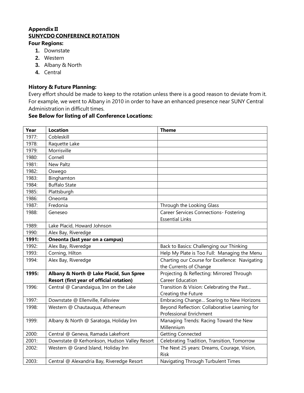#### **Appendix II SUNYCDO CONFERENCE ROTATION**

#### **Four Regions:**

- **1.** Downstate
- **2.** Western
- **3.** Albany & North
- **4.** Central

# **History & Future Planning:**

Every effort should be made to keep to the rotation unless there is a good reason to deviate from it. For example, we went to Albany in 2010 in order to have an enhanced presence near SUNY Central Administration in difficult times.

# **See Below for listing of all Conference Locations:**

| Year  | <b>Location</b>                              | <b>Theme</b>                                               |
|-------|----------------------------------------------|------------------------------------------------------------|
| 1977: | Cobleskill                                   |                                                            |
| 1978: | Raquette Lake                                |                                                            |
| 1979: | Morrisville                                  |                                                            |
| 1980: | Cornell                                      |                                                            |
| 1981: | <b>New Paltz</b>                             |                                                            |
| 1982: | Oswego                                       |                                                            |
| 1983: | Binghamton                                   |                                                            |
| 1984: | <b>Buffalo State</b>                         |                                                            |
| 1985: | Plattsburgh                                  |                                                            |
| 1986: | Oneonta                                      |                                                            |
| 1987: | Fredonia                                     | Through the Looking Glass                                  |
| 1988: | Geneseo                                      | Career Services Connections- Fostering                     |
|       |                                              | <b>Essential Links</b>                                     |
| 1989: | Lake Placid, Howard Johnson                  |                                                            |
| 1990: | Alex Bay, Riveredge                          |                                                            |
| 1991: | Oneonta (last year on a campus)              |                                                            |
| 1992: | Alex Bay, Riveredge                          | Back to Basics: Challenging our Thinking                   |
| 1993: | Corning, Hilton                              | Help My Plate is Too Full: Managing the Menu               |
| 1994: | Alex Bay, Riveredge                          | Charting our Course for Excellence: Navigating             |
|       |                                              | the Currents of Change                                     |
| 1995: | Albany & North @ Lake Placid, Sun Spree      | Projecting & Reflecting: Mirrored Through                  |
|       | Resort (first year of official rotation)     | <b>Career Education</b>                                    |
| 1996: | Central @ Canandaigua, Inn on the Lake       | Transition & Vision: Celebrating the Past                  |
|       |                                              | Creating the Future                                        |
| 1997: | Downstate @ Ellenville, Fallsview            | Embracing Change Soaring to New Horizons                   |
| 1998: | Western @ Chautauqua, Atheneum               | Beyond Reflection: Collaborative Learning for              |
|       |                                              | Professional Enrichment                                    |
| 1999: | Albany & North @ Saratoga, Holiday Inn       | Managing Trends: Racing Toward the New                     |
|       |                                              | Millennium                                                 |
| 2000: | Central @ Geneva, Ramada Lakefront           | <b>Getting Connected</b>                                   |
| 2001: | Downstate @ Kerhonkson, Hudson Valley Resort | Celebrating Tradition, Transition, Tomorrow                |
| 2002: | Western @ Grand Island, Holiday Inn          | The Next 25 years: Dreams, Courage, Vision,<br><b>Risk</b> |
| 2003: | Central @ Alexandria Bay, Riveredge Resort   | Navigating Through Turbulent Times                         |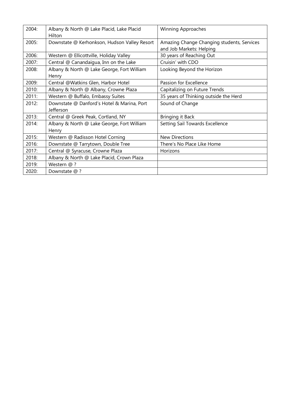| 2004: | Albany & North @ Lake Placid, Lake Placid<br>Hilton     | <b>Winning Approaches</b>                                              |
|-------|---------------------------------------------------------|------------------------------------------------------------------------|
| 2005: | Downstate @ Kerhonkson, Hudson Valley Resort            | Amazing Change Changing students, Services<br>and Job Markets: Helping |
| 2006: | Western @ Ellicottville, Holiday Valley                 | 30 years of Reaching Out                                               |
| 2007: | Central @ Canandaigua, Inn on the Lake                  | Cruisin' with CDO                                                      |
| 2008: | Albany & North @ Lake George, Fort William<br>Henry     | Looking Beyond the Horizon                                             |
| 2009: | Central @Watkins Glen, Harbor Hotel                     | Passion for Excellence                                                 |
| 2010: | Albany & North @ Albany, Crowne Plaza                   | Capitalizing on Future Trends                                          |
| 2011: | Western @ Buffalo, Embassy Suites                       | 35 years of Thinking outside the Herd                                  |
| 2012: | Downstate @ Danford's Hotel & Marina, Port<br>Jefferson | Sound of Change                                                        |
| 2013: | Central @ Greek Peak, Cortland, NY                      | Bringing it Back                                                       |
| 2014: | Albany & North @ Lake George, Fort William<br>Henry     | Setting Sail Towards Excellence                                        |
| 2015: | Western @ Radisson Hotel Corning                        | <b>New Directions</b>                                                  |
| 2016: | Downstate @ Tarrytown, Double Tree                      | There's No Place Like Home                                             |
| 2017: | Central @ Syracuse, Crowne Plaza                        | Horizons                                                               |
| 2018: | Albany & North @ Lake Placid, Crown Plaza               |                                                                        |
| 2019: | Western @ ?                                             |                                                                        |
| 2020: | Downstate @ ?                                           |                                                                        |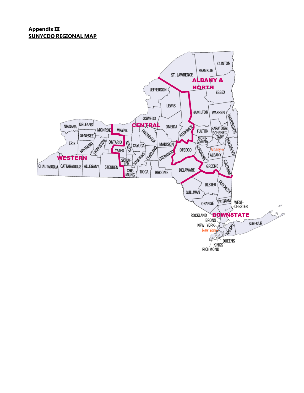#### **Appendix III SUNYCDO REGIONAL MAP**

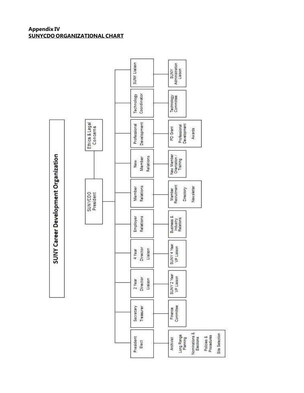#### **Appendix IV SUNYCDO ORGANIZATIONAL CHART**